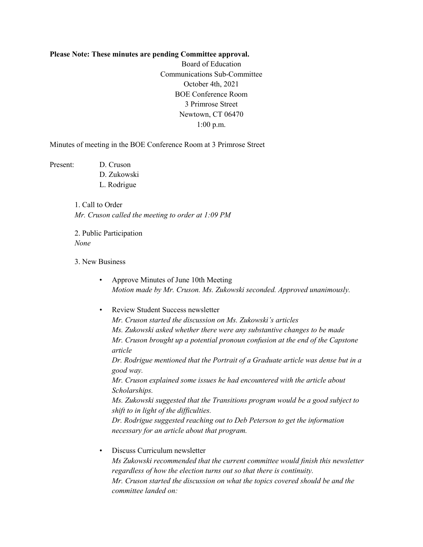## **Please Note: These minutes are pending Committee approval.**

Board of Education Communications Sub-Committee October 4th, 2021 BOE Conference Room 3 Primrose Street Newtown, CT 06470 1:00 p.m.

Minutes of meeting in the BOE Conference Room at 3 Primrose Street

Present: D. Cruson D. Zukowski L. Rodrigue

> 1. Call to Order *Mr. Cruson called the meeting to order at 1:09 PM*

2. Public Participation *None*

3. New Business

- Approve Minutes of June 10th Meeting *Motion made by Mr. Cruson. Ms. Zukowski seconded. Approved unanimously.*
- Review Student Success newsletter *Mr. Cruson started the discussion on Ms. Zukowski's articles Ms. Zukowski asked whether there were any substantive changes to be made Mr. Cruson brought up a potential pronoun confusion at the end of the Capstone article Dr. Rodrigue mentioned that the Portrait of a Graduate article was dense but in a good way. Mr. Cruson explained some issues he had encountered with the article about Scholarships. Ms. Zukowski suggested that the Transitions program would be a good subject to shift to in light of the difficulties. Dr. Rodrigue suggested reaching out to Deb Peterson to get the information necessary for an article about that program.* • Discuss Curriculum newsletter

*Ms Zukowski recommended that the current committee would finish this newsletter regardless of how the election turns out so that there is continuity. Mr. Cruson started the discussion on what the topics covered should be and the committee landed on:*